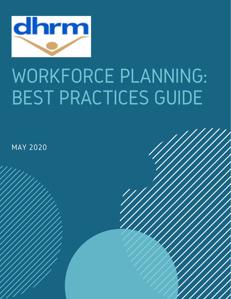

### WORKFORCE PLANNING: BEST PRACTICES GUIDE

MAY 2020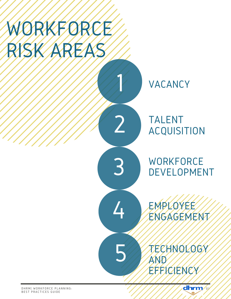### WORKFORCE RISK AREA

VACANCY

1

2

3

4

5

### TALENT ACQUISITION

**WORKFORCE** DEVELOPMENT

EMPLOYEE ENGAGEMENT

TECHNOLOGY AND EFFICIENCY

dhrm /

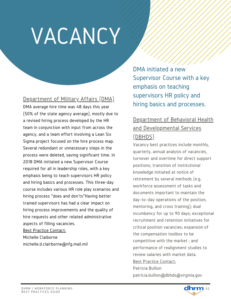# VACANCY

#### Department of Military Affairs (DMA)

DMA average hire time was 48 days this year (50% of the state agency average), mostly due to a revised hiring process developed by the HR team in conjunction with input from across the agency, and a team effort involving a Lean Six Sigma project focused on the hire process map. Several redundant or unnecessary steps in the process were deleted, saving significant time. In 2018 DMA initiated a new Supervisor Course required for all in leadership roles, with a key emphasis being to teach supervisors HR policy and hiring basics and processes. This three-day course includes various HR role play scenarios and hiring process "does and don'ts"Having better trained supervisors has had a clear impact on hiring process improvements and the quality of hire requests and other related administrative aspects of filling vacancies. Best Practice Contact:

Michelle Claiborne michelle.d.clairborne@nfg.mail.mil DMA initiated a new Supervisor Course with a key emphasis on teaching supervisors HR policy and hiring basics and processes.

### Department of Behavioral Health and Developmental Services (DBHDS)

Vacancy best practices include monthly, quarterly, annual analysis of vacancies, turnover and overtime for direct support positions; transition of institutional knowledge initiated at notice of retirement by several methods (e.g. workforce assessment of tasks and documents important to maintain the day-to–day operations of the position, mentoring, and cross training); dual incumbency for up to 90 days; exceptional recruitment and retention initiatives for critical position vacancies; expansion of the compensation toolbox to be competitive with the market ; and performance of realignment studies to review salaries with market data. Best Practice Contact: Patricia Bullion patricia.bullion@dbhds@virginia.gov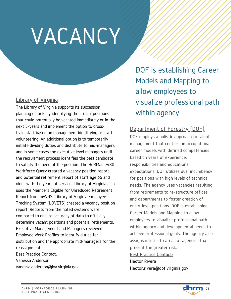## VACANCY

#### Library of Virginia

The Library of Virginia supports its succession planning efforts by identifying the critical positions that could potentially be vacated immediately or in the next 5-years and implement the option to crosstrain staff based on management identifying or staff volunteering. An additional option is to temporarily initiate dividing duties and distribute to mid-managers and in some cases the executive level managers until the recruitment process identifies the best candidate to satisfy the need of the position. The HuRMan e480 Workforce Query created a vacancy position report and potential retirement report of staff age 65 and older with the years of service. Library of Virginia also uses the Members Eligible for Unreduced Retirement Report from myVRS. Library of Virginia Employee Tracking System (LOVETS) created a vacancy position report. Reports from the noted systems were compared to ensure accuracy of data to officially determine vacant positions and potential retirements. Executive Management and Managers reviewed Employee Work Profiles to identify duties for distribution and the appropriate mid-managers for the reassignment.

Best Practice Contact: Vanessa Anderson vanessa.anderson@lva.virginia.gov

DOF is establishing Career Models and Mapping to allow employees to visualize professional path within agency

### Department of Forestry (DOF)

DOF employs a holistic approach to talent management that centers on occupational career models with defined competencies based on years of experience, responsibilities and educational expectations. DOF utilizes dual incumbency for positions with high levels of technical needs. The agency uses vacancies resulting from retirements to re-structure offices and departments to foster creation of entry-level positions. DOF is establishing Career Models and Mapping to allow employees to visualize professional path within agency and developmental needs to achieve professional goals. The agency also assigns interns to areas of agencies that present the greater risk. Best Practice Contact: Hector Rivera

Hector.rivera@dof.virginia.gov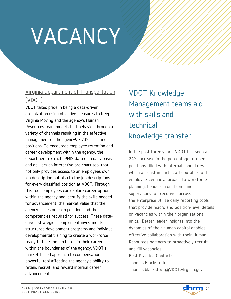## VACANCY

### Virginia Department of Transportation (VDOT)

VDOT takes pride in being a data-driven organization using objective measures to Keep Virginia Moving and the agency's Human Resources team models that behavior through a variety of channels resulting in the effective management of the agency's 7,735 classified positions. To encourage employee retention and career development within the agency, the department extracts PMIS data on a daily basis and delivers an interactive org chart tool that not only provides access to an employee's own job description but also to the job descriptions for every classified position at VDOT. Through this tool, employees can explore career options within the agency and identify the skills needed for advancement, the market value that the agency places on each position, and the competencies required for success. These datadriven strategies complement investments in structured development programs and individual developmental training to create a workforce ready to take the next step in their careers within the boundaries of the agency. VDOT's market-based approach to compensation is a powerful tool affecting the agency's ability to retain, recruit, and reward internal career advancement.

VDOT Knowledge Management teams aid with skills and technical knowledge transfer.

In the past three years, VDOT has seen a 24% increase in the percentage of open positions filled with internal candidates which at least in part is attributable to this employee-centric approach to workforce planning. Leaders from front-line supervisors to executives across the enterprise utilize daily reporting tools that provide macro and position-level details on vacancies within their organizational units. Better leader insights into the dynamics of their human capital enables effective collaboration with their Human Resources partners to proactively recruit and fill vacancies.

Best Practice Contact: Thomas Blackstock

Thomas.blackstock@VDOT.virginia.gov

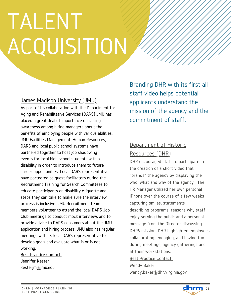# TALENT ACQUISITION

### James Madison University (JMU)

As part of its collaboration with the Department for Aging and Rehabilitative Services (DARS) JMU has placed a great deal of importance on raising awareness among hiring managers about the benefits of employing people with various abilities. JMU Facilities Management, Human Resources, DARS and local public school systems have partnered together to host job shadowing events for local high school students with a disability in order to introduce them to future career opportunities. Local DARS representatives have partnered as guest facilitators during the Recruitment Training for Search Committees to educate participants on disability etiquette and steps they can take to make sure the interview process is inclusive. JMU Recruitment Team members volunteer to attend the local DARS Job Club meetings to conduct mock interviews and to provide advice to DARS consumers about the JMU application and hiring process. JMU also has regular meetings with its local DARS representative to develop goals and evaluate what is or is not working.

Best Practice Contact: Jennifer Kester kesterjm@jmu.edu

Branding DHR with its first all staff video helps potential applicants understand the mission of the agency and the commitment of staff.

### Department of Historic Resources (DHR)

DHR encouraged staff to participate in the creation of a short video that "brands" the agency by displaying the who, what and why of the agency. The HR Manager utilized her own personal IPhone over the course of a few weeks capturing smiles, statements describing programs, reasons why staff enjoy serving the public and a personal message from the Director discussing DHR's mission. DHR highlighted employees collaborating, engaging, and having fun during meetings, agency gatherings and at their workstations. Best Practice Contact: Wendy Baker

wendy.baker@dhr.virginia.gov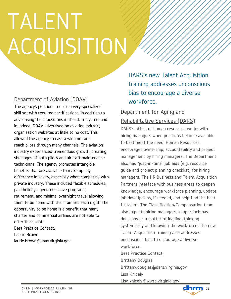# TALENT ACQUISITION

#### Department of Aviation (DOAV)

The agency's positions require a very specialized skill set with required certifications. In addition to advertising these positions in the state system and in Indeed, DOAV advertised on aviation industry organization websites at little to no cost. This allowed the agency to cast a wide net and reach pilots through many channels. The aviation industry experienced tremendous growth, creating shortages of both pilots and aircraft maintenance technicians. The agency promotes intangible benefits that are available to make up any difference in salary, especially when competing with private industry. These included flexible schedules, paid holidays, generous leave programs, retirement, and minimal overnight travel allowing them to be home with their families each night. The opportunity to be home is a benefit that many charter and commercial airlines are not able to offer their pilots.

Best Practice Contact: Laurie Brown laurie.brown@doav.virginia.gov DARS's new Talent Acquisition training addresses unconscious bias to encourage a diverse workforce.

#### Department for Aging and Rehabilitative Services (DARS)

DARS's office of human resources works with hiring managers when positions become available to best meet the need. Human Resources encourages ownership, accountability and project management by hiring managers. The Department also has "just-in-time" job aids (e.g. resource guide and project planning checklist) for hiring managers. The HR Business and Talent Acquisition Partners interface with business areas to deepen knowledge, encourage workforce planning, update job descriptions, if needed, and help find the best fit talent. The Classification/Compensation team also expects hiring managers to approach pay decisions as a matter of leading, thinking systemically and knowing the workforce. The new Talent Acquisition training also addresses unconscious bias to encourage a diverse workforce. Best Practice Contact:

Brittany Douglas

Brittany.douglas@dars.virginia.gov

Lisa Knicely

Lisa.knicely@wwrc.virginia.gov

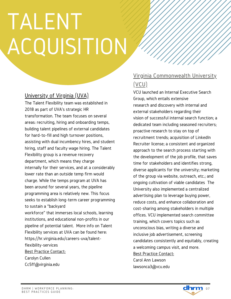## TALENT **ACQUISITION**

#### University of Virginia (UVA)

The Talent Flexibility team was established in 2018 as part of UVA's strategic HR transformation. The team focuses on several areas: recruiting, hiring and onboarding temps, building talent pipelines of external candidates for hard-to-fill and high turnover positions, assisting with dual incumbency hires, and student hiring, staff and faculty wage hiring. The Talent Flexibility group is a revenue recovery department, which means they charge internally for their services, and at a considerably lower rate than an outside temp firm would charge. While the temps program at UVA has been around for several years, the pipeline programming area is relatively new. This focus seeks to establish long-term career programming to sustain a "backyard workforce" that immerses local schools, learning institutions, and educational non-profits in our pipeline of potential talent. More info on Talent Flexibility services at UVA can be found here: https://hr.virginia.edu/careers-uva/talentflexibility-services Best Practice Contact: Carolyn Cullen

#### Virginia Commonwealth University (VCU)

#### VCU launched an Internal Executive Search Group, which entails extensive research and discovery with internal and external stakeholders regarding their vision of successful internal search function; a dedicated team including seasoned recruiters; proactive research to stay on top of recruitment trends; acquisition of LinkedIn Recruiter license; a consistent and organized approach to the search process starting with the development of the job profile, that saves time for stakeholders and identifies strong, diverse applicants for the university; marketing of the group via website, outreach, etc.; and ongoing cultivation of viable candidates The University also implemented a centralized advertising plan to leverage buying power, reduce costs, and enhance collaboration and cost-sharing among stakeholders in multiple offices. VCU implemented search committee training, which covers topics such as unconscious bias, writing a diverse and inclusive job advertisement, screening candidates consistently and equitably, creating a welcoming campus visit, and more. Best Practice Contact: Carol Ann Lawson lawsonca3@vcu.edu



Cc5ff@virginia.edu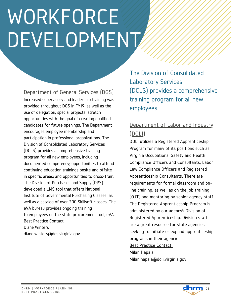#### Department of General Services (DGS)

Increased supervisory and leadership training was provided throughout DGS in FY19, as well as the use of delegation, special projects, stretch opportunities with the goal of creating qualified candidates for future openings. The Department encourages employee membership and participation in professional organizations. The Division of Consolidated Laboratory Services (DCLS) provides a comprehensive training program for all new employees, including documented competency; opportunities to attend continuing education trainings onsite and offsite in specific areas; and opportunities to cross-train. The Division of Purchases and Supply (DPS) developed a LMS tool that offers National Institute of Governmental Purchasing Classes, as well as a catalog of over 200 Skillsoft classes. The eVA bureau provides ongoing training to employees on the state procurement tool, eVA. Best Practice Contact: Diane Winters diane.winters@dgs.virginia.gov

The Division of Consolidated Laboratory Services (DCLS) provides a comprehensive training program for all new employees.

### Department of Labor and Industry (DOLI)

DOLI utilizes a Registered Apprenticeship Program for many of its positions such as Virginia Occupational Safety and Health Compliance Officers and Consultants, Labor Law Compliance Officers and Registered Apprenticeship Consultants. There are requirements for formal classroom and online training, as well as on the job training (OJT) and mentoring by senior agency staff. The Registered Apprenticeship Program is administered by our agency's Division of Registered Apprenticeship. Division staff are a great resource for state agencies seeking to initiate or expand apprenticeship programs in their agencies! Best Practice Contact: Milan Hapala

Milan.hapala@doli.virginia.gov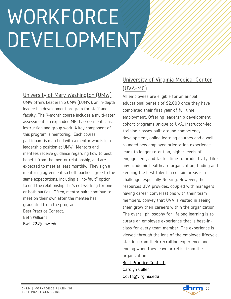#### University of Mary Washington (UMW)

UMW offers Leadership UMW (LUMW), an in-depth leadership development program for staff and faculty. The 9-month course includes a multi-rater assessment, an expanded MBTI assessment, class instruction and group work. A key component of this program is mentoring. Each course participant is matched with a mentor who is in a leadership position at UMW. Mentors and mentees receive guidance regarding how to best benefit from the mentor relationship, and are expected to meet at least monthly. They sign a mentoring agreement so both parties agree to the same expectations, including a "no-fault" option to end the relationship if it's not working for one or both parties. Often, mentor pairs continue to meet on their own after the mentee has graduated from the program. Best Practice Contact: Beth Williams Bwilli22@umw.edu

### University of Virginia Medical Center (UVA-MC)

All employees are eligible for an annual educational benefit of \$2,000 once they have completed their first year of full time employment. Offering leadership development cohort programs unique to UVA, instructor-led training classes built around competency development, online learning courses and a wellrounded new employee orientation experience leads to longer retention, higher levels of engagement, and faster time to productivity. Like any academic healthcare organization, finding and keeping the best talent in certain areas is a challenge, especially Nursing. However, the resources UVA provides, coupled with managers having career conversations with their team members, convey that UVA is vested in seeing them grow their careers within the organization. The overall philosophy for lifelong learning is to curate an employee experience that is best-inclass for every team member. The experience is viewed through the lens of the employee lifecycle, starting from their recruiting experience and ending when they leave or retire from the organization.

#### Best Practice Contact: Carolyn Cullen

Cc5ff@virginia.edu

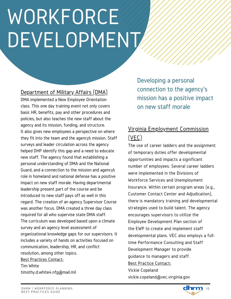#### Department of Military Affairs (DMA)

DMA implemented a New Employee Orientation class. This one day training event not only covers basic HR, benefits, pay and other procedures and policies, but also teaches the new staff about the agency and its mission, funding, and structure. It also gives new employees a perspective on where they fit into the team and the agency's mission. Staff surveys and leader circulation across the agency helped DHP identify this gap and a need to educate new staff. The agency found that establishing a personal understanding of DMA and the National Guard, and a connection to the mission and agency's role in homeland and national defense has a positive impact on new staff morale. Having departmental leadership present part of the course and be introduced to new staff pays off as well in this regard. The creation of an agency Supervisor Course was another focus. DMA created a three day class required for all who supervise state DMA staff. The curriculum was developed based upon a climate survey and an agency level assessment of organizational knowledge gaps for our supervisors. It includes a variety of hands on activities focused on communication, leadership, HR, and conflict resolution, among other topics. Best Practices Contact: Tim White timothy.d.white4.nfg@mail.mil

Developing a personal connection to the agency's mission has a positive impact on new staff morale

### Virginia Employment Commission (VEC)

The use of career ladders and the assignment of temporary duties offer developmental opportunities and impacts a significant number of employees. Several career ladders were implemented in the Divisions of Workforce Services and Unemployment Insurance. Within certain program areas (e.g., Customer Contact Center and Adjudication), there is mandatory training and developmental strategies used to build talent. The agency encourages supervisors to utilize the Employee Development Plan section of the EWP to create and implement staff developmental plans. VEC also employs a fulltime Performance Consulting and Staff Development Manager to provide guidance to managers and staff. Best Practice Contact: Vickie Copeland

vickie.copeland@vec.virginia.gov

dhrm  $10$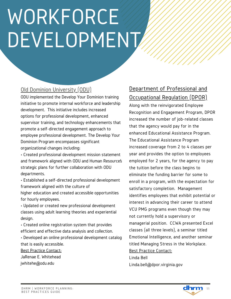#### Old Dominion University (ODU)

ODU implemented the Develop Your Dominion training initiative to promote internal workforce and leadership development. This initiative includes increased options for professional development, enhanced supervisor training, and technology enhancements that promote a self-directed engagement approach to employee professional development. The Develop Your Dominion Program encompasses significant organizational changes including:

• Created professional development mission statement and framework aligned with ODU and Human Resource's strategic plans for further collaboration with ODU departments.

• Established a self-directed professional development framework aligned with the culture of higher education and created accessible opportunities for hourly employees.

• Updated or created new professional development classes using adult learning theories and experiential design.

• Created online registration system that provides efficient and effective data analysis and collection.

• Developed an online professional development catalog that is easily accessible.

Best Practice Contact: JaRenae E. Whitehead jwhitehe@odu.edu

### Department of Professional and Occupational Regulation (DPOR)

Along with the reinvigorated Employee Recognition and Engagement Program, DPOR increased the number of job-related classes that the agency would pay for in the enhanced Educational Assistance Program. The Educational Assistance Program increased coverage from 2 to 4 classes per year and provides the option to employees employed for 2 years, for the agency to pay the tuition before the class begins to eliminate the funding barrier for some to enroll in a program, with the expectation for satisfactory completion. Management identifies employees that exhibit potential or interest in advancing their career to attend VCU PMG programs even though they may not currently hold a supervisory or managerial position. CCWA presented Excel classes (all three levels), a seminar titled Emotional Intelligence, and another seminar titled Managing Stress in the Workplace. Best Practice Contact:

Linda Bell Linda.bell@dpor.virginia.gov

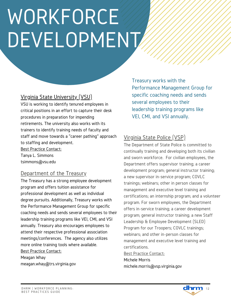#### Virginia State University (VSU)

VSU is working to identify tenured employees in critical positions in an effort to capture their desk procedures in preparation for impending retirements. The university also works with its trainers to identify training needs of faculty and staff and move towards a "career pathing" approach to staffing and development.

Best Practice Contact: Tanya L. Simmons tsimmons@vsu.edu

#### Department of the Treasury

The Treasury has a strong employee development program and offers tuition assistance for professional development as well as individual degree pursuits. Additionally, Treasury works with the Performance Management Group for specific coaching needs and sends several employees to their leadership training programs like VEI, CMI, and VSI annually. Treasury also encourages employees to attend their respective professional association meetings/conferences. The agency also utilizes more online training tools where available. Best Practice Contact:

Meagan Whay meagan.whay@trs.virginia.gov Treasury works with the Performance Management Group for specific coaching needs and sends several employees to their leadership training programs like VEI, CMI, and VSI annually.

### Virginia State Police (VSP)

The Department of State Police is committed to continually training and developing both its civilian and sworn workforce. For civilian employees, the Department offers supervisor training; a career development program; general instructor training; a new supervisor in-service program; COVLC trainings; webinars; other in person classes for management and executive level training and certifications; an internship program; and a volunteer program. For sworn employees, the Department offers in-service training; a career development program; general instructor training; a new Staff Leadership & Employee Development (SLED) Program for our Troopers; COVLC trainings; webinars; and other in-person classes for management and executive level training and certifications. Best Practice Contact:

Michele Morris michele.morris@vsp.virginia.gov

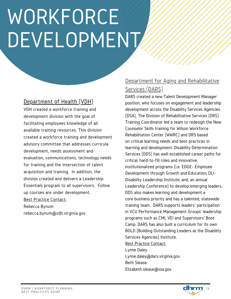### Department of Health (VDH)

VDH created a workforce training and development division with the goal of facilitating employees knowledge of all available training resources. This division created a workforce training and development advisory committee that addresses curricula development, needs assessment and evaluation, communications, technology needs for training and the intersection of talent acquisition and training. In addition, the division created and delivers a Leadership Essentials program to all supervisors. Follow up courses are under development. Best Practice Contact: Rebecca Bynum rebecca.bynum@vdh.virginia.gov

### Department for Aging and Rehabilitative Services (DARS)

DARS created a new Talent Development Manager position, who focuses on engagement and leadership development across the Disability Services Agencies (DSA). The Division of Rehabilitative Services (DRS) Training Coordinator led a team to redesign the New Counselor Skills training for Wilson Workforce Rehabilitation Center (WWRC) and DRS based on critical learning needs and best practices in learning and development. Disability Determination Services (DDS) has well-established career paths for critical, hard-to-fill roles and innovative, institutionalized programs (i.e. EDGE- Employee Development through Growth and Education; DLI-Disability Leadership Institute; and, an annual Leadership Conference) to develop emerging leaders. DDS also makes learning and development a core business priority and has a talented, statewide training team. DARS supports leaders' participation in VCU Performance Management Groups' leadership programs such as CMI, VEI and Supervisors' Boot Camp. DARS has also built a curriculum for its own BOLD (Building Outstanding Leaders at the Disability Services Agencies) Institute.

#### Best Practice Contact:

Lynne Daley Lynne.daley@dars.virginia.gov Beth Slease Elizabeth.slease@ssa.gov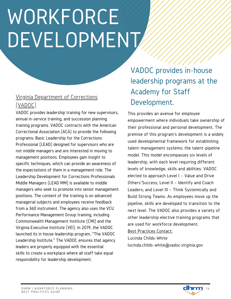### Virginia Department of Corrections (VADOC)

VADOC provides leadership training for new supervisors, annual in-service training, and succession planning training programs. VADOC contracts with the American Correctional Association (ACA) to provide the following programs: Basic Leadership for the Corrections Professional (LEAD) designed for supervisors who are not middle managers and are interested in moving to management positions. Employees gain insight to specific techniques, which can provide an awareness of the expectations of them in a management role. The Leadership Development for Corrections Professionals Middle Managers (LEAD MM) is available to middle managers who seek to promote into senior management positions. The content of the training is on advanced managerial subjects and employees receive feedback from a 360 instrument. The agency also uses the VCU Performance Management Group training, including Commonwealth Management Institute (CMI) and the Virginia Executive Institute (VEI). In 2019, the VADOC launched its in house leadership program, "The VADOC Leadership Institute." The VADOC ensures that agency leaders are properly equipped with the essential skills to create a workplace where all staff take equal responsibility for leadership development.

### VADOC provides in-house leadership programs at the Academy for Staff Development.

This provides an avenue for employee empowerment where individuals take ownership of their professional and personal development. The premise of this program's development is a widely used developmental framework for establishing talent-management systems: the talent-pipeline model. This model encompasses six levels of leadership, with each level requiring different levels of knowledge, skills and abilities. VADOC elected to approach Level I – Value and Drive Others'Success; Level II – Identify and Coach Leaders; and Level III – Think Systemically and Build Strong Teams. As employees move up the pipeline, skills are developed to transition to the next level. The VADOC also provides a variety of other leadership elective training programs that are used for workforce development.

Best Practices Contact: Lucinda Childs-White lucinda.childs-white@vadoc.virginia.gov

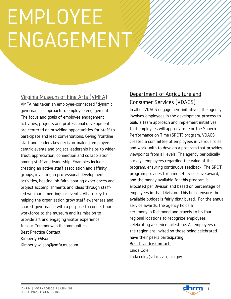### EMPLOYEE ENGAGEMENT

#### Virginia Museum of Fine Arts (VMFA)

VMFA has taken an employee-connected "dynamic governance" approach to employee engagement. The focus and goals of employee engagement activities, projects and professional development are centered on providing opportunities for staff to participate and lead conversations. Giving frontline staff and leaders key decision-making, employeecentric events and project leadership helps to widen trust, appreciation, connection and collaboration among staff and leadership. Examples include, creating an active staff association and affinity groups, investing in professional development activities, hosting job fairs, sharing experiences and project accomplishments and ideas through staffled webinars, meetings or events. All are key to helping the organization grow staff awareness and shared-governance with a purpose to connect our workforce to the museum and its mission to provide art and engaging visitor experience for our Commonwealth communities. Best Practice Contact: Kimberly Wilson

Kimberly.wilson@vmfa.museum

### Department of Agriculture and Consumer Services (VDACS)

In all of VDACS engagement initiatives, the agency involves employees in the development process to build a team approach and implement initiatives that employees will appreciate. For the Superb Performance on Time (SPOT) program, VDACS created a committee of employees in various roles and work units to develop a program that provides viewpoints from all levels. The agency periodically surveys employees regarding the value of the program, ensuring continuous feedback. The SPOT program provides for a monetary or leave award, and the money available for this program is allocated per Division and based on percentage of employees in that Division. This helps ensure the available budget is fairly distributed. For the annual service awards, the agency holds a ceremony in Richmond and travels to its four regional locations to recognize employees celebrating a service milestone. All employees of the region are invited so those being celebrated have their peers participating. Best Practice Contact: Linda Cole linda.cole@vdacs.virginia.gov

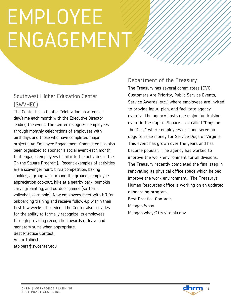### EMPLOYEE ENGAGEMENT

### Southwest Higher Education Center (SWVHEC)

The Center has a Center Celebration on a regular day/time each month with the Executive Director leading the event. The Center recognizes employees through monthly celebrations of employees with birthdays and those who have completed major projects. An Employee Engagement Committee has also been organized to sponsor a social event each month that engages employees (similar to the activities in the On the Square Program). Recent examples of activities are a scavenger hunt, trivia competition, baking cookies, a group walk around the grounds, employee appreciation cookout, hike at a nearby park, pumpkin carving/painting, and outdoor games (softball, volleyball, corn hole). New employees meet with HR for onboarding training and receive follow-up within their first few weeks of service. The Center also provides for the ability to formally recognize its employees through providing recognition awards of leave and monetary sums when appropriate. Best Practice Contact:

Adam Tolbert atolbert@swcenter.edu

#### Department of the Treasury

The Treasury has several committees (CVC, Customers Are Priority, Public Service Events, Service Awards, etc.) where employees are invited to provide input, plan, and facilitate agency events. The agency hosts one major fundraising event in the Capitol Square area called "Dogs on the Deck" where employees grill and serve hot dogs to raise money for Service Dogs of Virginia. This event has grown over the years and has become popular. The agency has worked to improve the work environment for all divisions. The Treasury recently completed the final step in renovating its physical office space which helped improve the work environment. The Treasury's Human Resources office is working on an updated onboarding program. Best Practice Contact:

Meagan Whay Meagan.whay@trs.virginia.gov

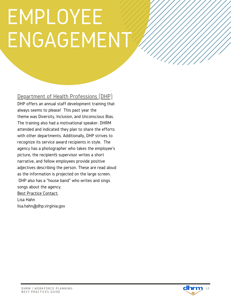### EMPLOYEE ENGAGEMENT

Department of Health Professions (DHP)

DHP offers an annual staff development training that always seems to please! This past year the theme was Diversity, Inclusion, and Unconscious Bias. The training also had a motivational speaker. DHRM attended and indicated they plan to share the efforts with other departments. Additionally, DHP strives to recognize its service award recipients in style. The agency has a photographer who takes the employee's picture, the recipient's supervisor writes a short narrative, and fellow employees provide positive adjectives describing the person. These are read aloud as the information is projected on the large screen. DHP also has a "house band" who writes and sings songs about the agency. Best Practice Contact: Lisa Hahn

lisa.hahn@dhp.virginia.gov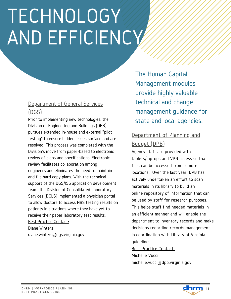### TECHNOLOGY AND EFFICIENCY

#### Department of General Services (DGS)

Prior to implementing new technologies, the Division of Engineering and Buildings (DEB) pursues extended in-house and external "pilot testing" to ensure hidden issues surface and are resolved. This process was completed with the Division's move from paper-based to electronic review of plans and specifications. Electronic review facilitates collaboration among engineers and eliminates the need to maintain and file hard copy plans. With the technical support of the DGS/ISS application development team, the Division of Consolidated Laboratory Services (DCLS) implemented a physician portal to allow doctors to access NBS testing results on patients in situations where they have yet to receive their paper laboratory test results. Best Practice Contact: Diane Winters diane.winters@dgs.virginia.gov

The Human Capital Management modules provide highly valuable technical and change management guidance for state and local agencies.

### Department of Planning and Budget (DPB)

Agency staff are provided with tablets/laptops and VPN access so that files can be accessed from remote locations. Over the last year, DPB has actively undertaken an effort to scan materials in its library to build an online repository of information that can be used by staff for research purposes. This helps staff find needed materials in an efficient manner and will enable the department to inventory records and make decisions regarding records management in coordination with Library of Virginia guidelines.

#### Best Practice Contact:

Michelle Vucci michelle.vucci@dpb.virginia.gov

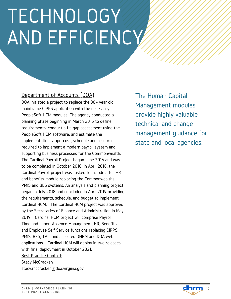### TECHNOLOGY AND EFFICIENCY

#### Department of Accounts (DOA)

DOA initiated a project to replace the 30+ year old mainframe CIPPS application with the necessary PeopleSoft HCM modules. The agency conducted a planning phase beginning in March 2015 to define requirements; conduct a fit-gap assessment using the PeopleSoft HCM software; and estimate the implementation scope-cost, schedule and resources required to implement a modern payroll system and supporting business processes for the Commonwealth. The Cardinal Payroll Project began June 2016 and was to be completed in October 2018. In April 2018, the Cardinal Payroll project was tasked to include a full HR and benefits module replacing the Commonwealth's PMIS and BES systems. An analysis and planning project began in July 2018 and concluded in April 2019 providing the requirements, schedule, and budget to implement Cardinal HCM. The Cardinal HCM project was approved by the Secretaries of Finance and Administration in May 2019. Cardinal HCM project will comprise Payroll, Time and Labor, Absence Management, HR, Benefits, and Employee Self Service functions replacing CIPPS, PMIS, BES, TAL, and assorted DHRM and DOA web applications. Cardinal HCM will deploy in two releases with final deployment in October 2021. Best Practice Contact: Stacy McCracken stacy.mccracken@doa.virginia.gov

The Human Capital Management modules provide highly valuable technical and change management guidance for state and local agencies.

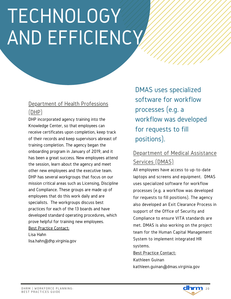### TECHNOLOGY AND EFFICIENCY

### Department of Health Professions (DHP)

DHP incorporated agency training into the Knowledge Center, so that employees can receive certificates upon completion, keep track of their records and keep supervisors abreast of training completion. The agency began the onboarding program in January of 2019, and it has been a great success. New employees attend the session, learn about the agency and meet other new employees and the executive team. DHP has several workgroups that focus on our mission critical areas such as Licensing, Discipline and Compliance. These groups are made up of employees that do this work daily and are specialists. The workgroups discuss best practices for each of the 13 boards and have developed standard operating procedures, which prove helpful for training new employees. Best Practice Contact: Lisa Hahn

lisa.hahn@dhp.virginia.gov

DMAS uses specialized software for workflow processes (e.g. a workflow was developed for requests to fill positions).

### Department of Medical Assistance Services (DMAS)

All employees have access to up-to-date laptops and screens and equipment. DMAS uses specialized software for workflow processes (e.g. a workflow was developed for requests to fill positions). The agency also developed an Exit Clearance Process in support of the Office of Security and Compliance to ensure VITA standards are met. DMAS is also working on the project team for the Human Capital Management System to implement integrated HR systems.

Best Practice Contact: Kathleen Guinan kathleen.guinan@dmas.virginia.gov